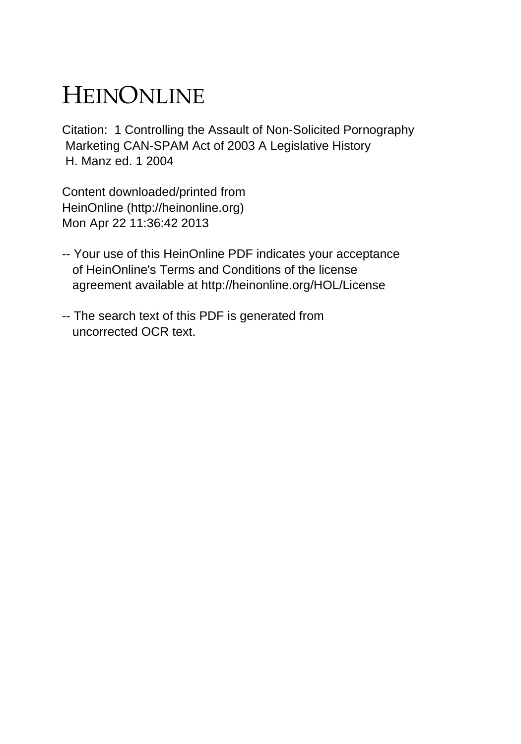# HEINONLINE

Citation: 1 Controlling the Assault of Non-Solicited Pornography Marketing CAN-SPAM Act of 2003 A Legislative History H. Manz ed. 1 2004

Content downloaded/printed from HeinOnline (http://heinonline.org) Mon Apr 22 11:36:42 2013

- -- Your use of this HeinOnline PDF indicates your acceptance of HeinOnline's Terms and Conditions of the license agreement available at http://heinonline.org/HOL/License
- -- The search text of this PDF is generated from uncorrected OCR text.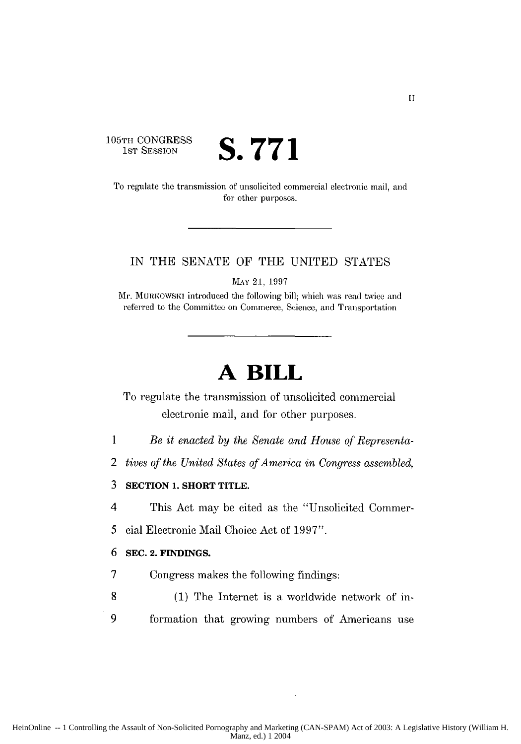# **105TH CONGRESS**<br>1st Session

S. 771

To regulate the transmission of unsolicited commercial electronic mail, and for other purposes.

#### IN THE SENATE OF THE UNITED STATES

MAY 21, 1997

Mr. MURKOwsKI introduced the following bill; which was read twice and referred to the Committee on Commerce, Science, and Transportation

# **A BILL**

To regulate the transmission of unsolicited commercial electronic mail, and for other purposes.

- **I** *Be it enacted by the Senate and House of Representa-*
- 2 *tives of the United States of America in Congress assembled,*
- 3 **SECTION 1. SHORT** TITLE.
- 4 This Act may be cited as the "Unsolicited Commer-
- *5* cial Electronic Mail Choice Act of 1997".

#### 6 **SEC. 2. FINDINGS.**

- 7 Congress makes the following findings:
- 8 (1) The Internet is a worldwide network of in-9 formation that growing numbers of Americans use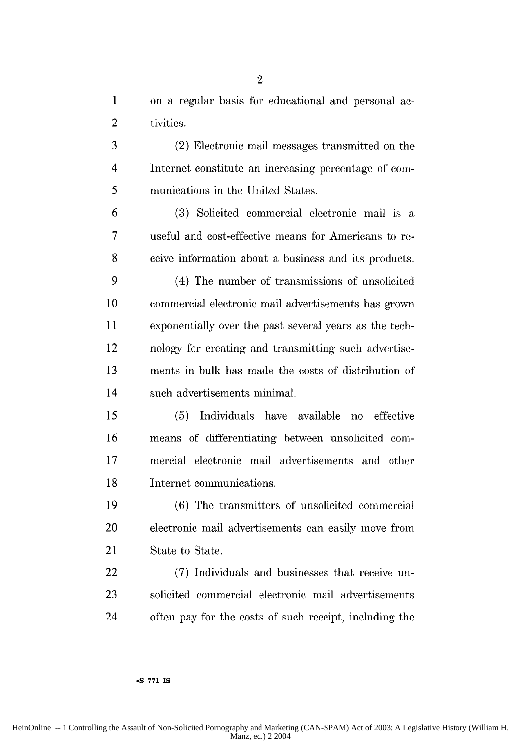**1** on a regular basis for educational and personal ac-2 tivities.

**3** (2) Electronic mail messages transmitted on the 4 Internet constitute an increasing percentage of **com-5** munications in the United States.

**6 (3)** Solicited commercial electronic mail is a **7** useful and cost-effective means for Americans to re-**8** ceive information about a business and its products.

(4) The number of transmissions of unsolicited commercial electronic mail advertisements has grown exponentially over the past several years as the tech-12 nology for creating and transmitting such advertise-ments in bulk has made the costs of distribution of 14 such advertisements minimal.

**15 (5)** Individuals have available no effective means of differentiating between unsolicited **com-**mercial electronic mail advertisements and **other** Internet communications.

**19 (6)** The transmitters of unsolicited commercial 20 electronic mail advertisements can easily move from 21 State to State.

22 **(7)** Individuals and businesses that receive un-**23** solicited commercial electronic mail advertisements 24 often pay for the costs of such receipt, including the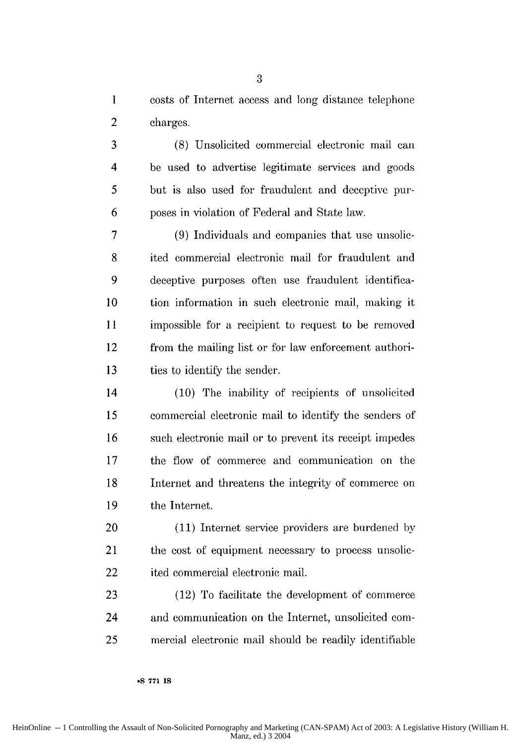1 costs of Internet access and long distance telephone 2 charges.

3 (8) Unsolicited commercial electronic mail can 4 be used to advertise legitimate services and goods 5 but is also used for fraudulent and deceptive pur-6 poses in violation of Federal and State law.

7 (9) Individuals and companies that use unsolic-8 ited commercial electronic mail for fraudulent and 9 deceptive purposes often use fraudulent identifica-**10** tion information in such electronic mail, making it 11 impossible for a recipient to request to be removed 12 from the mailing list or for law enforcement authori-13 ties to identify the sender.

14 (10) The inability of recipients of unsolicited 15 commercial electronic mail to identify the senders of 16 such electronic mail or to prevent its receipt impedes 17 the flow of commerce and communication on the 18 Internet and threatens the integrity of commerce on **19** the Internet.

20 (11) Internet service providers are burdened by 21 the cost of equipment necessary to process unsolic-22 ited commercial electronic mail.

23 (12) To facilitate the development of commerce 24 and communication on the Internet, unsolicited com-25 nercial electronic mail should be readily identifiable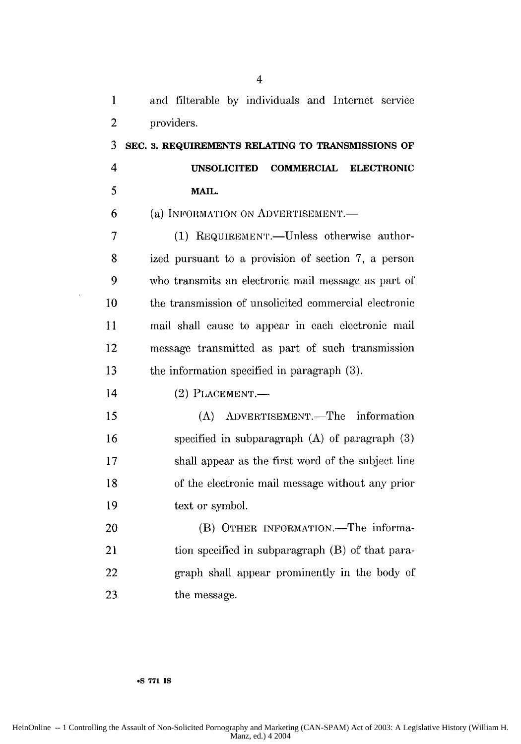| 1              | and filterable by individuals and Internet service    |
|----------------|-------------------------------------------------------|
| $\overline{2}$ | providers.                                            |
| 3              | SEC. 3. REQUIREMENTS RELATING TO TRANSMISSIONS OF     |
| $\overline{4}$ | UNSOLICITED COMMERCIAL ELECTRONIC                     |
| 5              | MAIL.                                                 |
| 6              | (a) INFORMATION ON ADVERTISEMENT.                     |
| 7              | (1) REQUIREMENT.-Unless otherwise author-             |
| 8              | ized pursuant to a provision of section 7, a person   |
| 9              | who transmits an electronic mail message as part of   |
| 10             | the transmission of unsolicited commercial electronic |
| 11             | mail shall cause to appear in each electronic mail    |
| 12             | message transmitted as part of such transmission      |
| 13             | the information specified in paragraph (3).           |
| 14             | $(2)$ PLACEMENT.—                                     |
| 15             | (A) ADVERTISEMENT.—The information                    |
| 16             | specified in subparagraph $(A)$ of paragraph $(3)$    |
| 17             | shall appear as the first word of the subject line    |
| 18             | of the electronic mail message without any prior      |
| 19             | text or symbol.                                       |
| 20             | (B) OTHER INFORMATION.—The informa-                   |
| 21             | tion specified in subparagraph (B) of that para-      |
| 22             | graph shall appear prominently in the body of         |
| 23             | the message.                                          |

#### **-S 771 IS**

 $\bar{\beta}$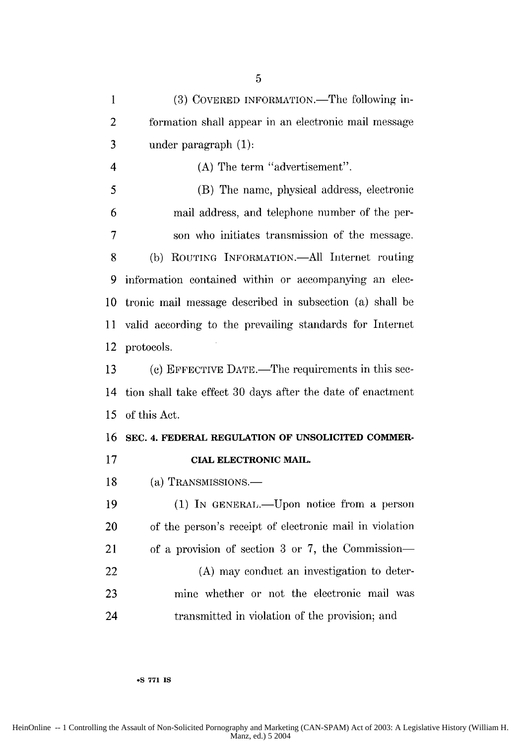1 (3) COVERED INFORMATION.—The following in-2 formation shall appear in an electronic mail message 3 under paragraph (1): 4 (A) The term "advertisement". 5 (B) The name, physical address, electronic 6 mail address, and telephone number of the per-7 son who initiates transmission of the message. 8 (b) ROUTING INFORMATION.—All Internet routing 9 information contained within or accompanying an elec-10 tronic mail message described in subsection (a) shall be 11 valid according to the prevailing standards for Internet 12 protocols. 13 (c) EFFECTIVE DATE.—The requirements in this sec-14 tion shall take effect 30 days after the date of enactment 15 of this Act. **16 SEC. 4. FEDERAL REGULATION OF UNSOLICITED COMMER-17 CIAL ELECTRONIC MAIL.** 18 (a) TRANSMISSIONS.— 19 (1) In GENERAL.—Upon notice from a person 20 of the person's receipt of electronic mail in violation 21 of a provision of section 3 or 7, the Commission-22 (A) may conduct an investigation to deter-23 mine whether or not the electronic mail was 24 transmitted in violation of the provision; and

**-S 771 IS**

HeinOnline -- 1 Controlling the Assault of Non-Solicited Pornography and Marketing (CAN-SPAM) Act of 2003: A Legislative History (William H. Manz, ed.) 5 2004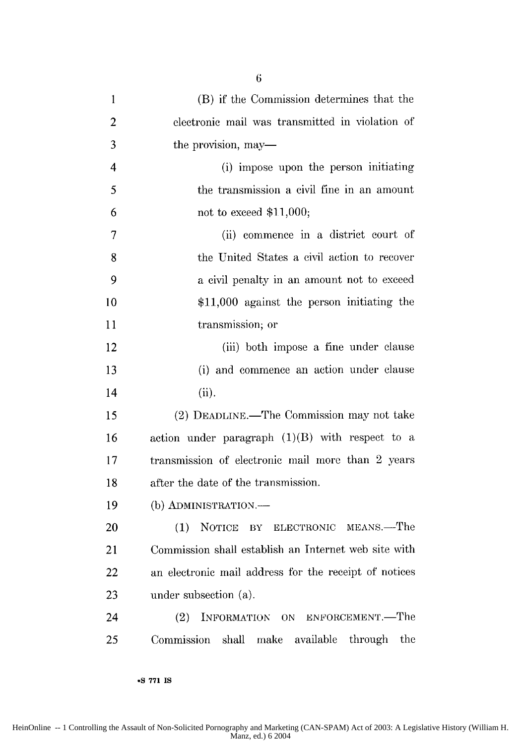| $\mathbf{1}$   | (B) if the Commission determines that the               |
|----------------|---------------------------------------------------------|
| $\overline{2}$ | electronic mail was transmitted in violation of         |
| 3              | the provision, may—                                     |
| 4              | (i) impose upon the person initiating                   |
| 5              | the transmission a civil fine in an amount              |
| 6              | not to exceed $$11,000;$                                |
| $\overline{7}$ | (ii) commence in a district court of                    |
| 8              | the United States a civil action to recover             |
| 9              | a civil penalty in an amount not to exceed              |
| 10             | $$11,000$ against the person initiating the             |
| 11             | transmission; or                                        |
| 12             | (iii) both impose a fine under clause                   |
| 13             | (i) and commence an action under clause                 |
| 14             | (ii).                                                   |
| 15             | (2) DEADLINE.—The Commission may not take               |
| 16             | action under paragraph $(1)(B)$ with respect to a       |
| 17             | transmission of electronic mail more than 2 years       |
| 18             | after the date of the transmission.                     |
| 19             | (b) ADMINISTRATION.-                                    |
| 20             | (1) NOTICE BY ELECTRONIC MEANS.—The                     |
| 21             | Commission shall establish an Internet web site with    |
| 22             | an electronic mail address for the receipt of notices   |
| 23             | under subsection (a).                                   |
| 24             | INFORMATION ON ENFORCEMENT.-The<br>(2)                  |
| 25             | Commission<br>shall<br>make available<br>through<br>the |

**6**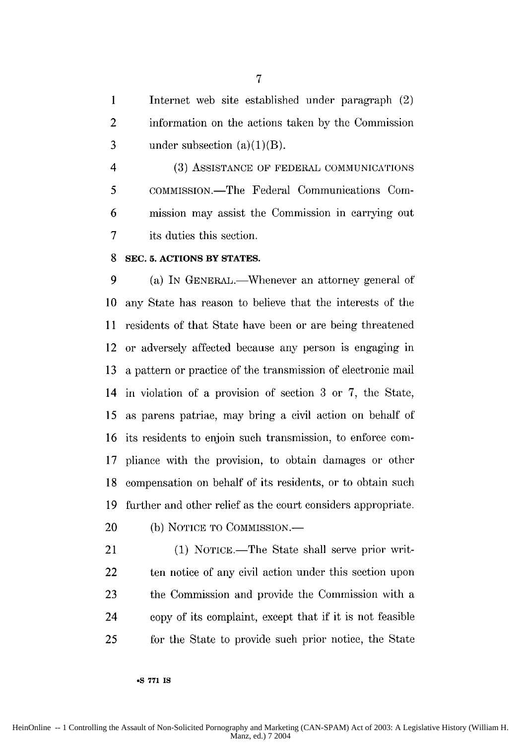1 Internet web site established under paragraph (2) 2 information on the actions taken by the Commission 3 under subsection  $(a)(1)(B)$ .

4 (3) ASSISTANCE OF FEDERAL COMMUNICATIONS 5 COMMISSION.—The Federal Communications Com-6 mission may assist the Commission in carrying out 7 its duties this section.

#### 8 **SEC. 5. ACTIONS BY STATES.**

9 (a) In GENERAL.—Whenever an attorney general of 10 any State has reason to believe that the interests of the 11 residents of that State have been or are being threatened 12 or adversely affected because any person is engaging in 13 a pattern or practice of the transmission of electronic mail 14 in violation of a provision of section 3 or 7, the State, 15 as parens patriae, may bring a civil action on behalf of 16 its residents to enjoin such transmission, to enforce corn-17 pliance with the provision, to obtain damages or other 18 compensation on behalf of its residents, or to obtain such 19 further and other relief as the court considers appropriate.

20 (b) NOTICE TO COMMISSION.—

**oS 771 IS**

21 (1) NOTICE.—The State shall serve prior writ-22 ten notice of any civil action under this section upon 23 the Commission and provide the Commission with a 24 copy of its complaint, except that if it is not feasible 25 for the State to provide such prior notice, the State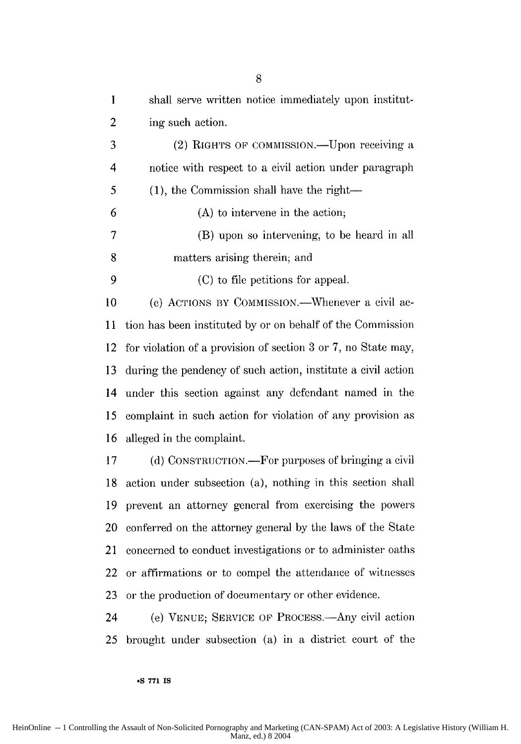| $\mathbf{I}$   | shall serve written notice immediately upon institut-         |
|----------------|---------------------------------------------------------------|
| $\overline{2}$ | ing such action.                                              |
| 3              | (2) RIGHTS OF COMMISSION.- Upon receiving a                   |
| 4              | notice with respect to a civil action under paragraph         |
| 5              | $(1)$ , the Commission shall have the right—                  |
| 6              | (A) to intervene in the action;                               |
| 7              | (B) upon so intervening, to be heard in all                   |
| 8              | matters arising therein; and                                  |
| 9              | (C) to file petitions for appeal.                             |
| 10             | (c) ACTIONS BY COMMISSION.—Whenever a civil ac-               |
| 11             | tion has been instituted by or on behalf of the Commission    |
| 12             | for violation of a provision of section 3 or 7, no State may, |
| 13             | during the pendency of such action, institute a civil action  |
| 14             | under this section against any defendant named in the         |
| 15             | complaint in such action for violation of any provision as    |
| 16             | alleged in the complaint.                                     |
| 17             | (d) CONSTRUCTION.—For purposes of bringing a civil            |
| 18             | action under subsection (a), nothing in this section shall    |
| 19             | prevent an attorney general from exercising the powers        |
| 20             | conferred on the attorney general by the laws of the State    |
| 21             | concerned to conduct investigations or to administer oaths    |
| 22             | or affirmations or to compel the attendance of witnesses      |
| 23             | or the production of documentary or other evidence.           |

24 (e) VENUE; SERVICE **OF** PROCESS.-Any civil action 25 brought under subsection (a) in a district court of the

**.S 771 IS**

8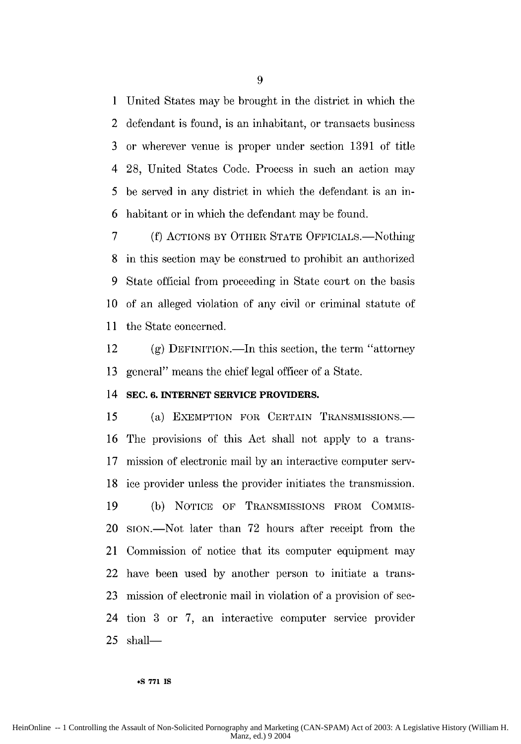1 United States may be brought in the district in which the 2 defendant is found, is an inhabitant, or transacts business 3 or wherever venue is proper under section 1391 of title 4 28, United States Code. Process in such an action may 5 be served in any district in which the defendant is an in-6 habitant or in which the defendant may be found.

7 (f) ACTIONS BY OTHER STATE OFFICIALS.—Nothing 8 in this section may be construed to prohibit an authorized 9 State official from proceeding in State court on the basis **10** of an alleged violation of any civil or criminal statute of 11 the State concerned.

12 (g) DEFINITION.-In this section, the term "attorney 13 general" means the chief legal officer of a State.

#### 14 **SEC. 6. INTERNET SERVICE PROVIDERS.**

15 (a) EXEMPTION FOR CERTAIN TRANSMISSIONS. 16 The provisions of this Act shall not apply to a trans-17 mission of electronic mail by an interactive computer serv-18 ice provider unless the provider initiates the transmission. 19 (b) NOTICE OF TRANSMISSIONS FROM COMMIS-20 SION.-Not later than 72 hours after receipt from the 21 Commission of notice that its computer equipment may 22 have been used by another person to initiate a trans-23 mission of electronic mail in violation of a provision of see-24 tion 3 or 7, an interactive computer service provider  $25$  shall-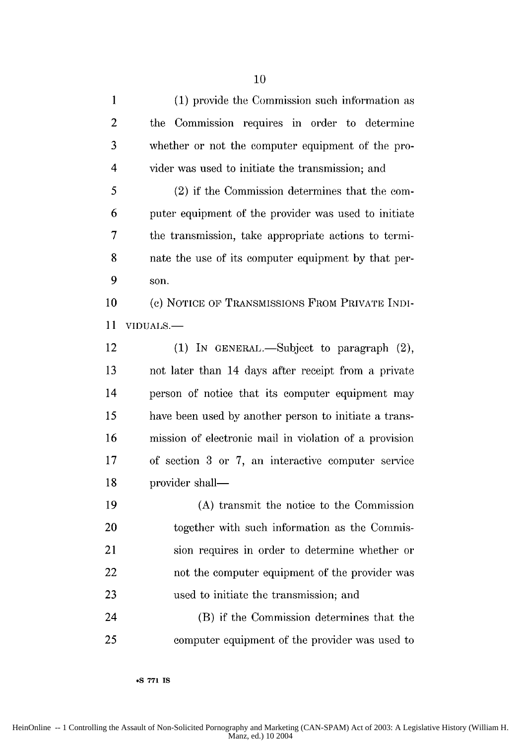| 1  | (1) provide the Commission such information as         |
|----|--------------------------------------------------------|
| 2  | the Commission requires in order to determine          |
| 3  | whether or not the computer equipment of the pro-      |
| 4  | vider was used to initiate the transmission; and       |
| 5  | (2) if the Commission determines that the com-         |
| 6  | puter equipment of the provider was used to initiate   |
| 7  | the transmission, take appropriate actions to termi-   |
| 8  | nate the use of its computer equipment by that per-    |
| 9  | son.                                                   |
| 10 | (c) NOTICE OF TRANSMISSIONS FROM PRIVATE INDI-         |
| 11 | VIDUALS.-                                              |
| 12 | (1) IN GENERAL.—Subject to paragraph $(2)$ ,           |
| 13 | not later than 14 days after receipt from a private    |
| 14 | person of notice that its computer equipment may       |
| 15 | have been used by another person to initiate a trans-  |
| 16 | mission of electronic mail in violation of a provision |
| 17 | of section 3 or 7, an interactive computer service     |
| 18 | provider shall-                                        |
| 19 | (A) transmit the notice to the Commission              |
| 20 | together with such information as the Commis-          |
| 21 | sion requires in order to determine whether or         |
| 22 | not the computer equipment of the provider was         |
| 23 | used to initiate the transmission; and                 |
| 24 | (B) if the Commission determines that the              |
| 25 | computer equipment of the provider was used to         |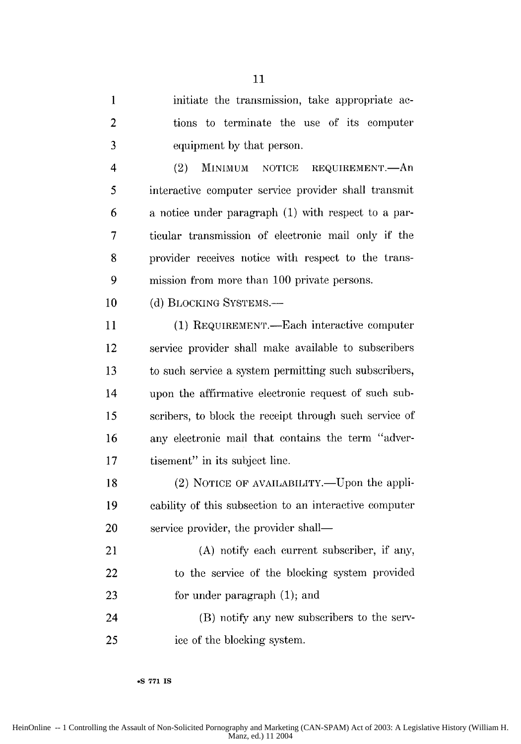1 initiate the transmission, take appropriate ac-2 tions to terminate the use of its computer 3 equipment by that person.

4 (2) **MINiMlUM** NOTICE REQUIREMENT.-An 5 interactive computer service provider shall transmit 6 a notice under paragraph (1) with respect to a par-7 ticular transmission of electronic mail only if the 8 provider receives notice with respect to the trans-9 mission from more than 100 private persons.

10 (d) BLOCKING SYSTEMS.

11 (1) REQUIREMENT.—Each interactive computer 12 service provider shall make available to subscribers 13 to such service a system permitting such subscribers, 14 upon the affirmative electronic request of such sub-15 scribers, to block the receipt through such service of 16 any electronic mail that contains the term "adver-17 tisement" in its subject line.

18 (2) NOTICE OF AVAILABILITY.—Upon the appli-19 cability of this subsection to an interactive computer 20 service provider, the provider shall—

21 (A) notify each current subscriber, if any, 22 to the service of the blocking system provided 23 for under paragraph (1); and

24 (B) notify any new subscribers to the serv-25 ice of the blocking system.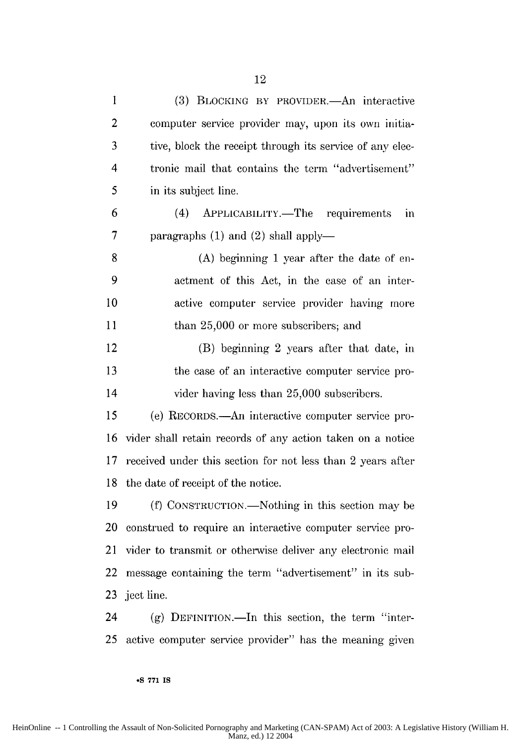1 (3) BLOCKING BY PROVIDER.<sup>---</sup>An interactive

2 computer service provider may, upon its own initia-

**3** tive, block the receipt through its service of any elec-

4 tronic mail that contains the term "advertisement"

**6** (4) APPLICABIILITY.-The requirements **in**

**8 (A)** beginning **1** year after the date of **en-**

**9** aetment of this Act, in the case of an inter-

**10** active computer service provider having more

12 (B) beginning 2 years after that date, in

**13** the case of an interactive computer service pro-

*15* (e) RECORDS.-An interactive computer service pro-

**16** vider shall retain records of any action taken on a notice

**17** received under this section for not less than 2 years after

19 (f) CONSTRUCTION.—Nothing in this section may be

20 construed to require an interactive computer service pro-

14 vider having less than **25,000** subscribers.

**18** the date of receipt of the notice.

**7 paragraphs (1) and (2) shall apply—** 

**11** than **25,000** or more subscribers; and

**5** in its subject line.

|    | 21 vider to transmit or otherwise deliver any electronic mail                                                                                                      |
|----|--------------------------------------------------------------------------------------------------------------------------------------------------------------------|
| 22 | message containing the term "advertisement" in its sub-                                                                                                            |
|    | 23 ject line.                                                                                                                                                      |
| 24 | $(g)$ DEFINITION.—In this section, the term "inter-                                                                                                                |
| 25 | active computer service provider" has the meaning given                                                                                                            |
|    | •S 771 IS                                                                                                                                                          |
|    | HeinOnline -- 1 Controlling the Assault of Non-Solicited Pornography and Marketing (CAN-SPAM) Act of 2003: A Legislative History (William H.<br>Manz, ed.) 12 2004 |
|    |                                                                                                                                                                    |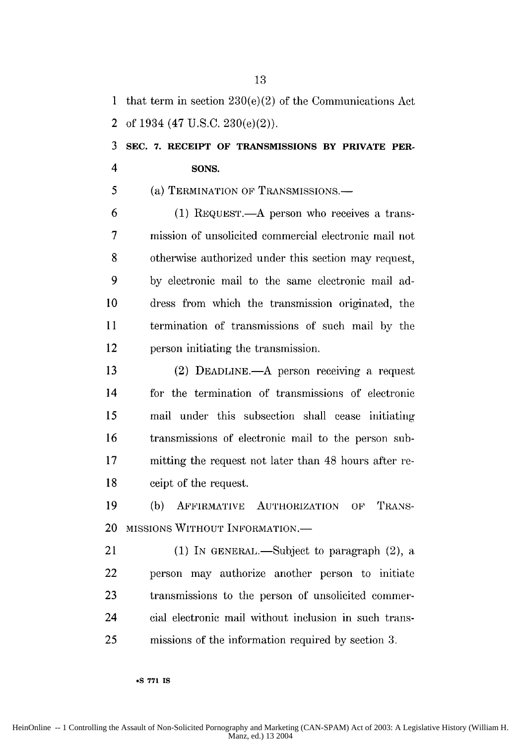1 that term in section 230(e)(2) of the Communications Act 2 of 1934 (47 U.S.C. 230(e)(2)).

### 3 **SEC. 7. RECEIPT OF TRANSMISSIONS BY PRIVATE PER-**4 **SONS.**

5 (a) TERMINATION OF TRANSMISSIONS.

**6** (1) REQUEST.-A person who receives a trans-7 mission of unsolicited commercial electronic mail not 8 otherwise authorized under this section may request, 9 by electronic mail to the same electronic mail ad-**10** dress from which the transmission originated, the 11 termination of transmissions of such mail by the 12 person initiating the transmission.

13 (2) DEADLINE.—A person receiving a request 14 for the termination of transmissions of electronic 15 mail under this subsection shall cease initiating 16 transmissions of electronic mail to the person sub-17 mitting the request not later than 48 hours after re-18 ceipt of the request.

19 (b) AFFIRMATIVE AUTHORIZATION OF TRANS-20 MISSIONS WITHOUT INFORMATION.-

21 (1) IN GENERAL.—Subject to paragraph (2), a 22 person may authorize another person to initiate 23 transmissions to the person of unsolicited commer-24 cial electronic mail without inclusion in such trans-25 missions of the information required by section 3.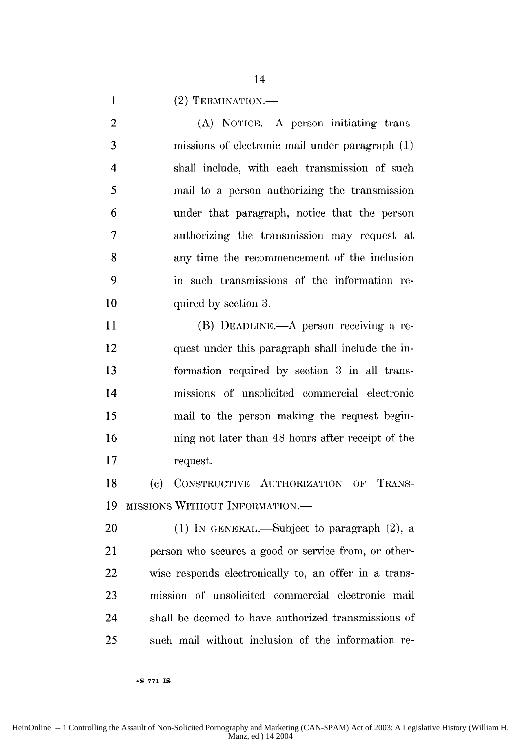1 (2) TERMINATION.

2 **(A)** NOTICE.—A person initiating trans-3 missions of electronic mail under paragraph (1) 4 shall include, with each transmission of such 5 mail to a person authorizing the transmission 6 under that paragraph, notice that the person 7 authorizing the transmission may request at 8 any time the recommencement of the inclusion 9 in such transmissions of the information re-**10** quired by section 3.

11 (B) DEADLINE.—A person receiving a re-12 quest under this paragraph shall include the in-13 formation required by section 3 in all trans-14 missions of unsolicited commercial electronic 15 mail to the person making the request begin-16 ning not later than 48 hours after receipt of the 17 request.

18 **(c)** CONSTRUCTIVE AUTHORIZATION OF TRANS-19 MISSIONS WITHOUT INFORMATION.-

20 (1) In GENERAL.—Subject to paragraph  $(2)$ , a 21 person who secures a good or service from, or other-22 wise responds electronically to, an offer in a trans-23 mission of unsolicited commercial electronic mail 24 shall be deemed to have authorized transmissions of 25 such mail without inclusion of the information re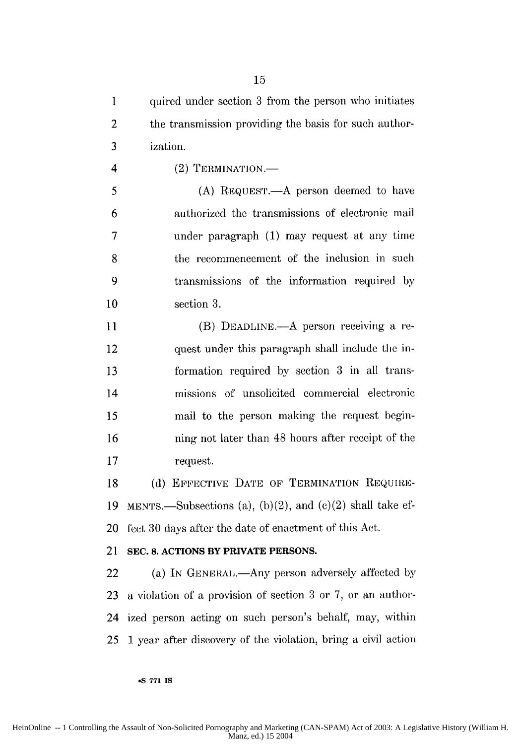1 quired under section 3 from the person who initiates 2 the transmission providing the basis for such author-**3** ization.

4 (2) TERMINATION.

5 (A) REQUEST.—A person deemed to have 6 authorized the transmissions of electronic mail 7 under paragraph (1) may request at any time 8 the recommencement of the inclusion in such 9 transmissions of the information required by 10 section 3.

11 (B) DEADLINE.—A person receiving a re-12 quest under this paragraph shall include the in-13 formation required by section 3 in all trans-14 missions of unsolicited commercial electronic 15 mail to the person making the request begin-16 ning not later than 48 hours after receipt of the 17 request.

18 (d) EFFECTIVE DATE OF TERMINATION REQUIRE-19 MENTS.—Subsections (a), (b)(2), and (c)(2) shall take ef-20 fect 30 days after the date of enactment of this Act.

#### 21 **SEC. 8. ACTIONS BY PRIVATE PERSONS.**

**.S 771 IS**

22 (a) In GENERAL.—Any person adversely affected by 23 a violation of a provision of section 3 or 7, or an author-24 ized person acting on such person's behalf, may, within 25 **1** year after discovery of the violation, bring a civil action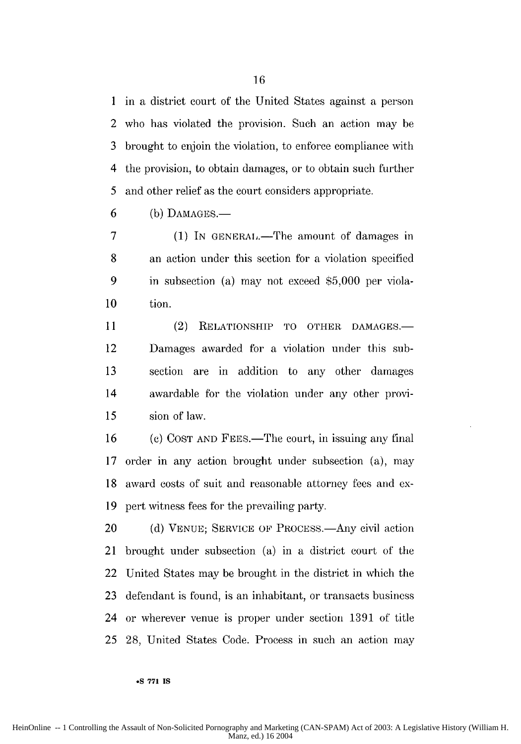1 in a district court of the United States against a person 2 who has violated the provision. Such an action may be 3 brought to enjoin the violation, to enforce compliance with 4 the provision, to obtain damages, or to obtain such further 5 and other relief as the court considers appropriate.

 $6$  (b) DAMAGES.—

7 (1) In GENERAL.—The amount of damages in 8 an action under this section for a violation specified 9 in subsection (a) may not exceed \$5,000 per viola-**10** tion.

11 (2) RELATIONSHIP TO OTHER DAMAGES. 12 Damages awarded for a violation under this sub-**13** section are in addition to any other damages 14 awardable for the violation under any other provi-**15** sion of law.

16 (c) COST AND FEES.—The court, in issuing any final 17 order in any action brought under subsection (a), may 18 award costs of suit and reasonable attorney fees and ex-19 pert witness fees for the prevailing party.

20 (d) VENUE; SERVICE OF PROCESS.—Any civil action 21 brought under subsection (a) in a district court of the 22 United States may be brought in the district in which the 23 defendant is found, is an inhabitant, or transacts business 24 or wherever venue is proper under section 1391 of title 25 28, United States Code. Process in such an action may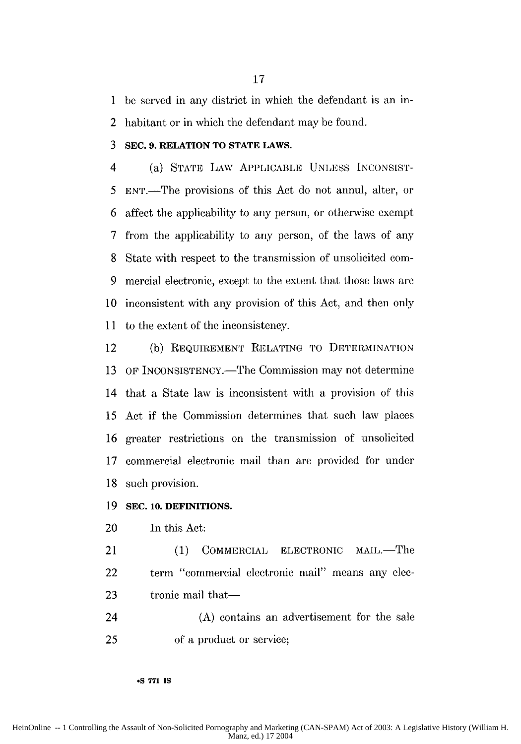1 be served in any district in which the defendant is an in-

2 habitant or in which the defendant may be found.

#### **3 SEC. 9. RELATION TO STATE LAWS.**

4 (a) STATE LAW APPLICABLE UNLESS INCONSIST-5 ENT.-The provisions of this Act do not annul, alter, or 6 affect the applicability to any person, or otherwise exempt 7 from the applicability to any person, of the laws of any 8 State with respect to the transmission of unsolicited corn-9 mercial electronic, except to the extent that those laws are 10 inconsistent with any provision of this Act, and then only 11 to the extent of the inconsistency.

12 (b) REQUIREMENT RELATING TO DETERMINATION **13** OF INCONSISTENCY.—The Commission may not determine 14 that a State law is inconsistent with a provision of this 15 Act if the Commission determines that such law places 16 greater restrictions on the transmission of unsolicited 17 commercial electronic mail than are provided for under 18 such provision.

#### **19 SEC. 10. DEFINITIONS.**

20 In this Act:

21 (1) COMMERCIAL ELECTRONIC MAIL.—The 22 term "commercial electronic mail" means any **elec-**23 tronic mail that—

24 (A) contains an advertisement for the sale 25 of a product or service;

**.S 771 IS**

HeinOnline -- 1 Controlling the Assault of Non-Solicited Pornography and Marketing (CAN-SPAM) Act of 2003: A Legislative History (William H. Manz, ed.) 17 2004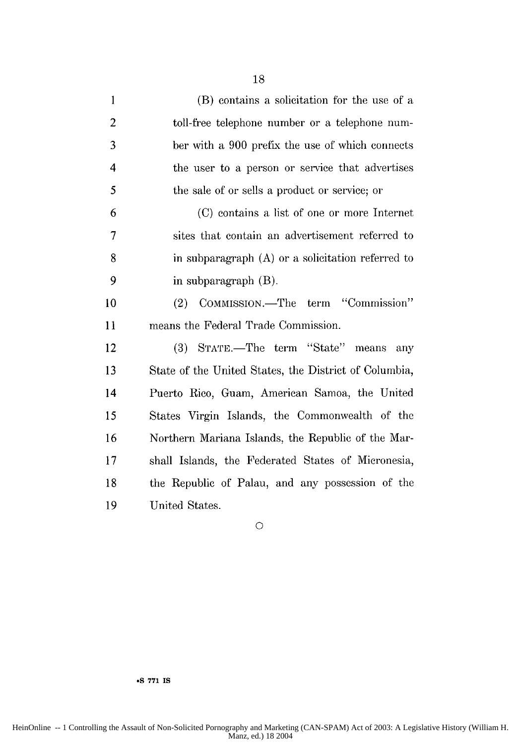| $\mathbf{1}$             | (B) contains a solicitation for the use of a          |
|--------------------------|-------------------------------------------------------|
| $\overline{2}$           | toll-free telephone number or a telephone num-        |
| 3                        | ber with a 900 prefix the use of which connects       |
| $\overline{\mathcal{A}}$ | the user to a person or service that advertises       |
| 5                        | the sale of or sells a product or service; or         |
| 6                        | (C) contains a list of one or more Internet           |
| 7                        | sites that contain an advertisement referred to       |
| 8                        | in subparagraph (A) or a solicitation referred to     |
| 9                        | in subparagraph $(B)$ .                               |
| 10                       | COMMISSION.—The term "Commission"<br>(2)              |
| 11                       | means the Federal Trade Commission.                   |
| 12                       | (3) STATE.—The term "State" means<br>any              |
| 13                       | State of the United States, the District of Columbia, |
| 14                       | Puerto Rico, Guam, American Samoa, the United         |
| 15                       | States Virgin Islands, the Commonwealth of the        |
| 16                       | Northern Mariana Islands, the Republic of the Mar-    |
| 17                       | shall Islands, the Federated States of Micronesia,    |
| 18                       | the Republic of Palau, and any possession of the      |
| 19                       | United States.                                        |

**0**

**"S 771 IS**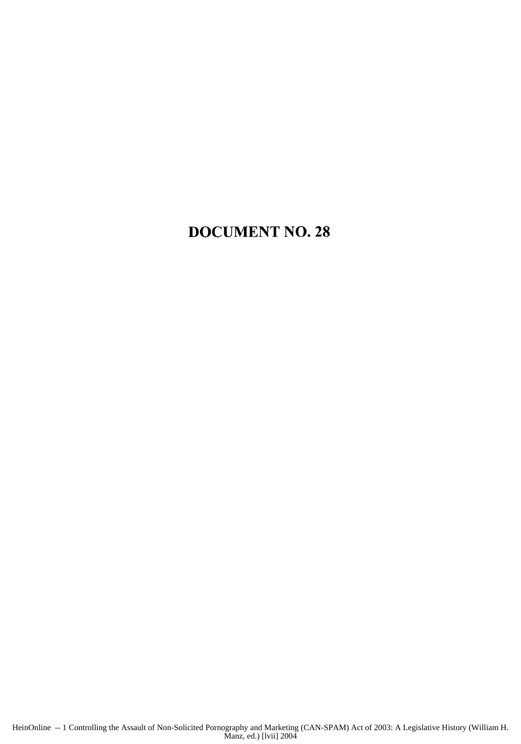### **DOCUMENT NO. 28**